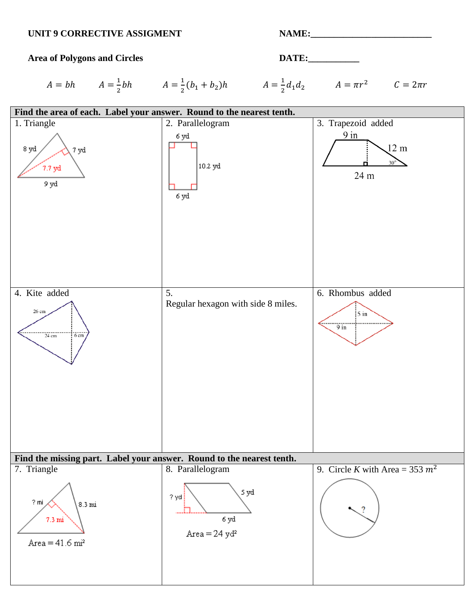#### UNIT 9 CORRECTIVE ASSIGMENT **NAME:**



 $A = bh$   $A = \frac{1}{2}bh$   $A = \frac{1}{2}(b_1 + b_2)h$   $A = \frac{1}{2}d_1d_2$   $A = \pi r^2$   $C = 2\pi r$ 

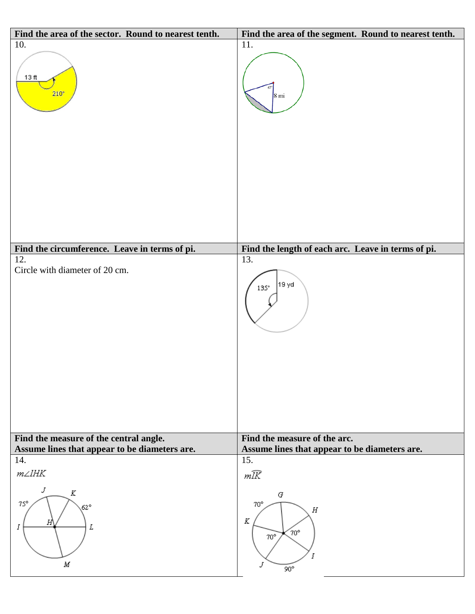| Find the area of the sector. Round to nearest tenth.                                    | Find the area of the segment. Round to nearest tenth.                              |
|-----------------------------------------------------------------------------------------|------------------------------------------------------------------------------------|
| 10.<br>13 ft<br>$210^{\circ}$                                                           | 11.<br>$8 \,\mathrm{mi}$                                                           |
| Find the circumference. Leave in terms of pi.                                           | Find the length of each arc. Leave in terms of pi.                                 |
| 12.<br>Circle with diameter of 20 cm.                                                   | 13.<br>19 yd<br>$135^{\circ}$<br>Find the measure of the arc.                      |
| Find the measure of the central angle.<br>Assume lines that appear to be diameters are. | Assume lines that appear to be diameters are.                                      |
| 14.                                                                                     | 15.                                                                                |
| $m\angle lHK$                                                                           | mĪK                                                                                |
| J<br>Κ<br>$75^\circ$<br>$62^\circ$<br>Н<br>L<br>I<br>М                                  | G<br>$70^{\circ}$<br>$\boldsymbol{H}$<br>K<br>70°<br>$70^\circ$<br>J<br>$90^\circ$ |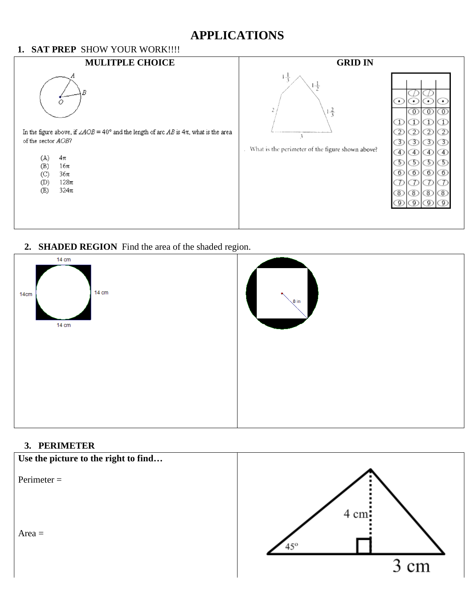## **APPLICATIONS**

#### **1. SAT PREP** SHOW YOUR WORK!!!!



#### **2. SHADED REGION** Find the area of the shaded region.



#### **3. PERIMETER**